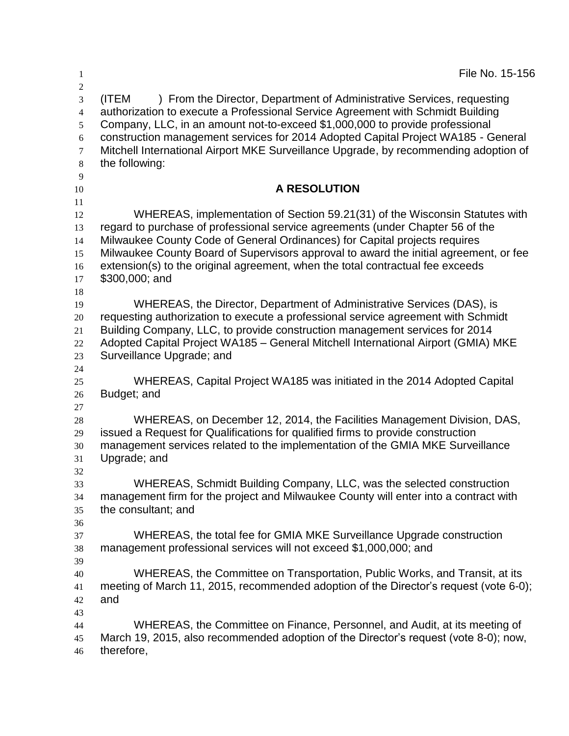| 1                                                                    | File No. 15-156                                                                                                                                                                                                                                                                                                                                                                                                                                   |
|----------------------------------------------------------------------|---------------------------------------------------------------------------------------------------------------------------------------------------------------------------------------------------------------------------------------------------------------------------------------------------------------------------------------------------------------------------------------------------------------------------------------------------|
| $\overline{2}$<br>3<br>$\overline{4}$<br>5<br>6<br>7<br>$\,8\,$<br>9 | ) From the Director, Department of Administrative Services, requesting<br>(ITEM<br>authorization to execute a Professional Service Agreement with Schmidt Building<br>Company, LLC, in an amount not-to-exceed \$1,000,000 to provide professional<br>construction management services for 2014 Adopted Capital Project WA185 - General<br>Mitchell International Airport MKE Surveillance Upgrade, by recommending adoption of<br>the following: |
| 10                                                                   | <b>A RESOLUTION</b>                                                                                                                                                                                                                                                                                                                                                                                                                               |
| 11<br>12<br>13<br>14<br>15<br>16<br>17<br>18                         | WHEREAS, implementation of Section 59.21(31) of the Wisconsin Statutes with<br>regard to purchase of professional service agreements (under Chapter 56 of the<br>Milwaukee County Code of General Ordinances) for Capital projects requires<br>Milwaukee County Board of Supervisors approval to award the initial agreement, or fee<br>extension(s) to the original agreement, when the total contractual fee exceeds<br>\$300,000; and          |
| 19<br>20<br>21<br>22<br>23<br>24                                     | WHEREAS, the Director, Department of Administrative Services (DAS), is<br>requesting authorization to execute a professional service agreement with Schmidt<br>Building Company, LLC, to provide construction management services for 2014<br>Adopted Capital Project WA185 - General Mitchell International Airport (GMIA) MKE<br>Surveillance Upgrade; and                                                                                      |
| 25<br>26                                                             | WHEREAS, Capital Project WA185 was initiated in the 2014 Adopted Capital<br>Budget; and                                                                                                                                                                                                                                                                                                                                                           |
| 27<br>28<br>29<br>30<br>31                                           | WHEREAS, on December 12, 2014, the Facilities Management Division, DAS,<br>issued a Request for Qualifications for qualified firms to provide construction<br>management services related to the implementation of the GMIA MKE Surveillance<br>Upgrade; and                                                                                                                                                                                      |
| 32<br>33<br>34<br>35                                                 | WHEREAS, Schmidt Building Company, LLC, was the selected construction<br>management firm for the project and Milwaukee County will enter into a contract with<br>the consultant; and                                                                                                                                                                                                                                                              |
| 36<br>37<br>38                                                       | WHEREAS, the total fee for GMIA MKE Surveillance Upgrade construction<br>management professional services will not exceed \$1,000,000; and                                                                                                                                                                                                                                                                                                        |
| 39<br>40<br>41<br>42                                                 | WHEREAS, the Committee on Transportation, Public Works, and Transit, at its<br>meeting of March 11, 2015, recommended adoption of the Director's request (vote 6-0);<br>and                                                                                                                                                                                                                                                                       |
| 43<br>44<br>45<br>46                                                 | WHEREAS, the Committee on Finance, Personnel, and Audit, at its meeting of<br>March 19, 2015, also recommended adoption of the Director's request (vote 8-0); now,<br>therefore,                                                                                                                                                                                                                                                                  |